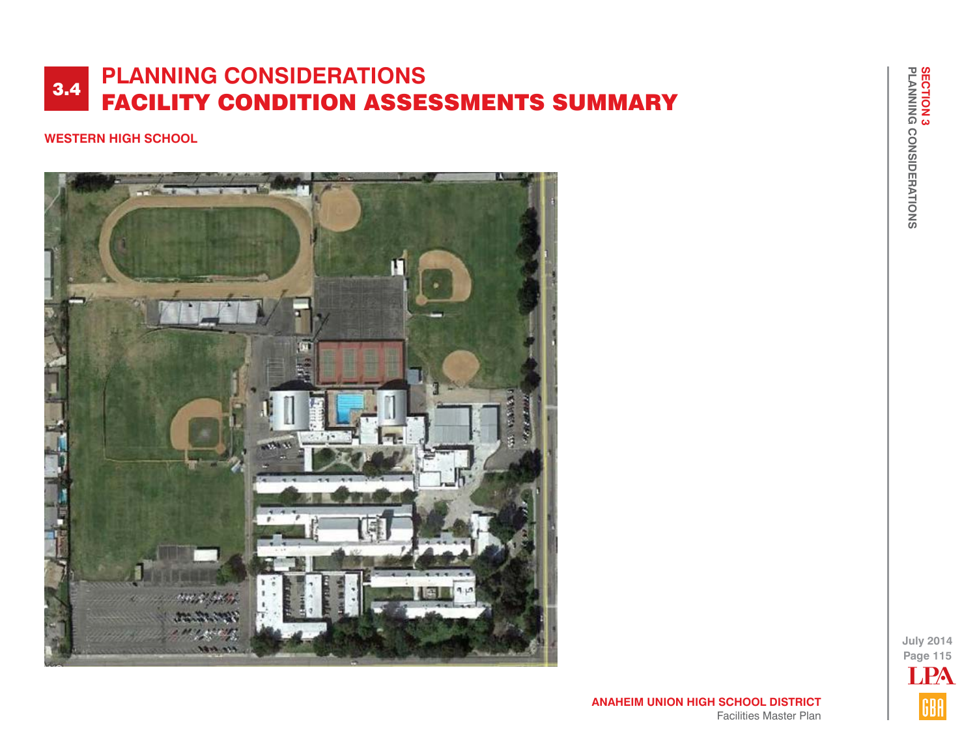# **WESTERN HIGH SCHOOL**



**July 2014 Page 115** LPAGBA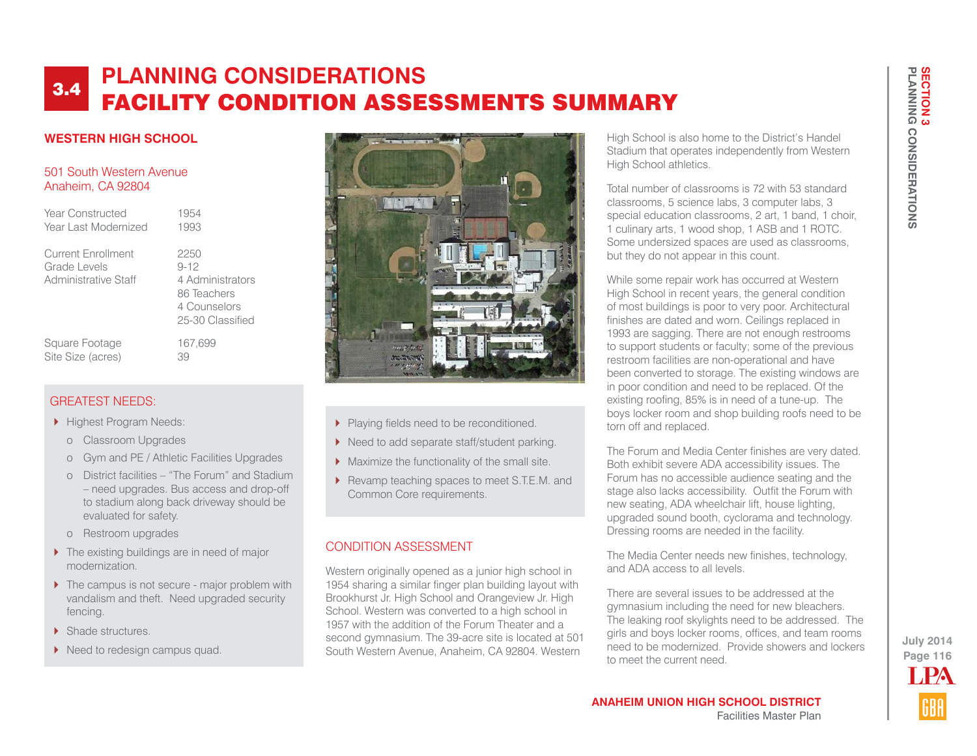## **WESTERN HIGH SCHOOL**

### 501 South Western Avenue Anaheim, CA 92804

Year Constructed 1954 Year Last Modernized 1993

Current Enrollment 2250 Grade Levels 9-12 Administrative Staff 4 Administrators

 86 Teachers 4 Counselors 25-30 Classified

Square Footage 167,699 Site Size (acres) 39

# GREATEST NEEDS:

- **Highest Program Needs:** 
	- o Classroom Upgrades
	- o Gym and PE / Athletic Facilities Upgrades
	- o District facilities "The Forum" and Stadium – need upgrades. Bus access and drop-off to stadium along back driveway should be evaluated for safety.
	- o Restroom upgrades
- ▶ The existing buildings are in need of major modernization.
- ▶ The campus is not secure major problem with vandalism and theft. Need upgraded security fencing.
- Shade structures.
- Need to redesign campus quad.



- Playing fields need to be reconditioned.
- ▶ Need to add separate staff/student parking.
- Maximize the functionality of the small site.
- Revamp teaching spaces to meet S.T.E.M. and Common Core requirements.

# CONDITION ASSESSMENT

Western originally opened as a junior high school in 1954 sharing a similar finger plan building layout with Brookhurst Jr. High School and Orangeview Jr. High School. Western was converted to a high school in 1957 with the addition of the Forum Theater and a second gymnasium. The 39-acre site is located at 501 South Western Avenue, Anaheim, CA 92804. Western

High School is also home to the District's Handel Stadium that operates independently from Western High School athletics.

Total number of classrooms is 72 with 53 standard classrooms, 5 science labs, 3 computer labs, 3 special education classrooms, 2 art, 1 band, 1 choir, 1 culinary arts, 1 wood shop, 1 ASB and 1 ROTC. Some undersized spaces are used as classrooms, but they do not appear in this count.

While some repair work has occurred at Western High School in recent years, the general condition of most buildings is poor to very poor. Architectural finishes are dated and worn. Ceilings replaced in 1993 are sagging. There are not enough restrooms to support students or faculty; some of the previous restroom facilities are non-operational and have been converted to storage. The existing windows are in poor condition and need to be replaced. Of the existing roofing, 85% is in need of a tune-up. The boys locker room and shop building roofs need to be torn off and replaced.

The Forum and Media Center finishes are very dated. Both exhibit severe ADA accessibility issues. The Forum has no accessible audience seating and the stage also lacks accessibility. Outfit the Forum with new seating, ADA wheelchair lift, house lighting, upgraded sound booth, cyclorama and technology. Dressing rooms are needed in the facility.

The Media Center needs new finishes, technology, and ADA access to all levels.

There are several issues to be addressed at the gymnasium including the need for new bleachers. The leaking roof skylights need to be addressed. The girls and boys locker rooms, offices, and team rooms need to be modernized. Provide showers and lockers to meet the current need.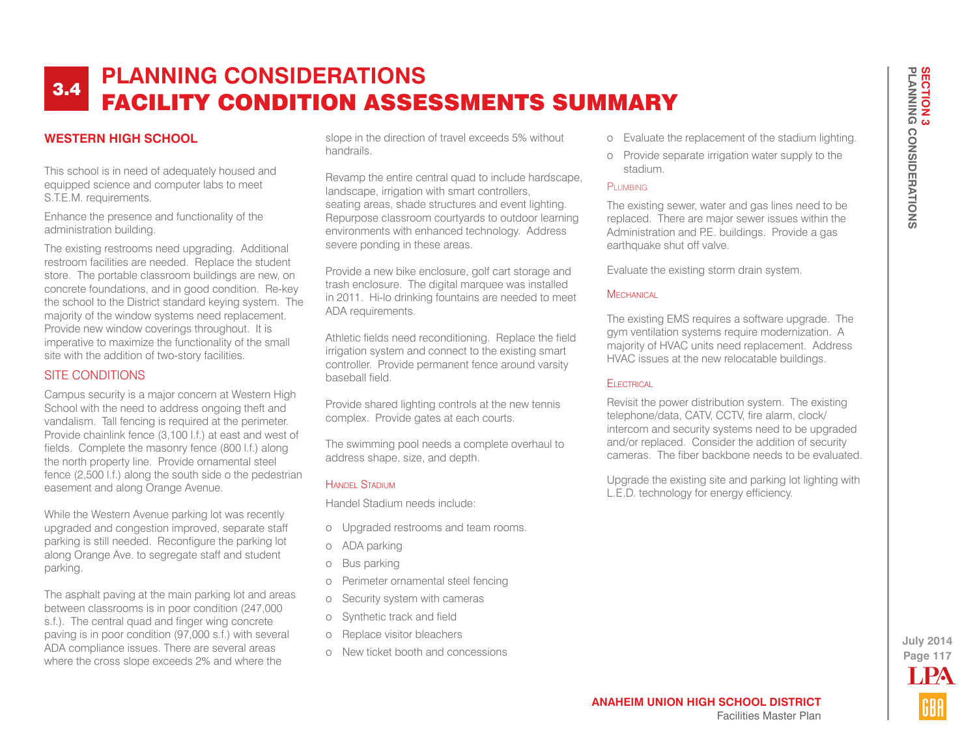## **WESTERN HIGH SCHOOL**

This school is in need of adequately housed and equipped science and computer labs to meet S.T.E.M. requirements.

Enhance the presence and functionality of the administration building.

The existing restrooms need upgrading. Additional restroom facilities are needed. Replace the student store. The portable classroom buildings are new, on concrete foundations, and in good condition. Re-key the school to the District standard keying system. The majority of the window systems need replacement. Provide new window coverings throughout. It is imperative to maximize the functionality of the small site with the addition of two-story facilities.

### SITE CONDITIONS

Campus security is a major concern at Western High School with the need to address ongoing theft and vandalism. Tall fencing is required at the perimeter. Provide chainlink fence (3,100 l.f.) at east and west of fields. Complete the masonry fence (800 l.f.) along the north property line. Provide ornamental steel fence (2,500 l.f.) along the south side o the pedestrian easement and along Orange Avenue.

While the Western Avenue parking lot was recently upgraded and congestion improved, separate staff parking is still needed. Reconfigure the parking lot along Orange Ave. to segregate staff and student parking.

The asphalt paving at the main parking lot and areas between classrooms is in poor condition (247,000 s.f.). The central quad and finger wing concrete paving is in poor condition (97,000 s.f.) with several ADA compliance issues. There are several areas where the cross slope exceeds 2% and where the

slope in the direction of travel exceeds 5% without handrails.

Revamp the entire central quad to include hardscape, landscape, irrigation with smart controllers, seating areas, shade structures and event lighting. Repurpose classroom courtyards to outdoor learning environments with enhanced technology. Address severe ponding in these areas.

Provide a new bike enclosure, golf cart storage and trash enclosure. The digital marquee was installed in 2011. Hi-lo drinking fountains are needed to meet ADA requirements.

Athletic fields need reconditioning. Replace the field irrigation system and connect to the existing smart controller. Provide permanent fence around varsity baseball field.

Provide shared lighting controls at the new tennis complex. Provide gates at each courts.

The swimming pool needs a complete overhaul to address shape, size, and depth.

#### HANDEL STADIUM

Handel Stadium needs include:

- o Upgraded restrooms and team rooms.
- o ADA parking
- o Bus parking
- o Perimeter ornamental steel fencing
- o Security system with cameras
- o Synthetic track and field
- o Replace visitor bleachers
- o New ticket booth and concessions
- o Evaluate the replacement of the stadium lighting.
- o Provide separate irrigation water supply to the stadium.

#### PLUMBING

The existing sewer, water and gas lines need to be replaced. There are major sewer issues within the Administration and P.E. buildings. Provide a gas earthquake shut off valve.

Evaluate the existing storm drain system.

#### **MECHANICAL**

The existing EMS requires a software upgrade. The gym ventilation systems require modernization. A majority of HVAC units need replacement. Address HVAC issues at the new relocatable buildings.

#### Electrical

Revisit the power distribution system. The existing telephone/data, CATV, CCTV, fire alarm, clock/ intercom and security systems need to be upgraded and/or replaced. Consider the addition of security cameras. The fiber backbone needs to be evaluated.

Upgrade the existing site and parking lot lighting with L.E.D. technology for energy efficiency.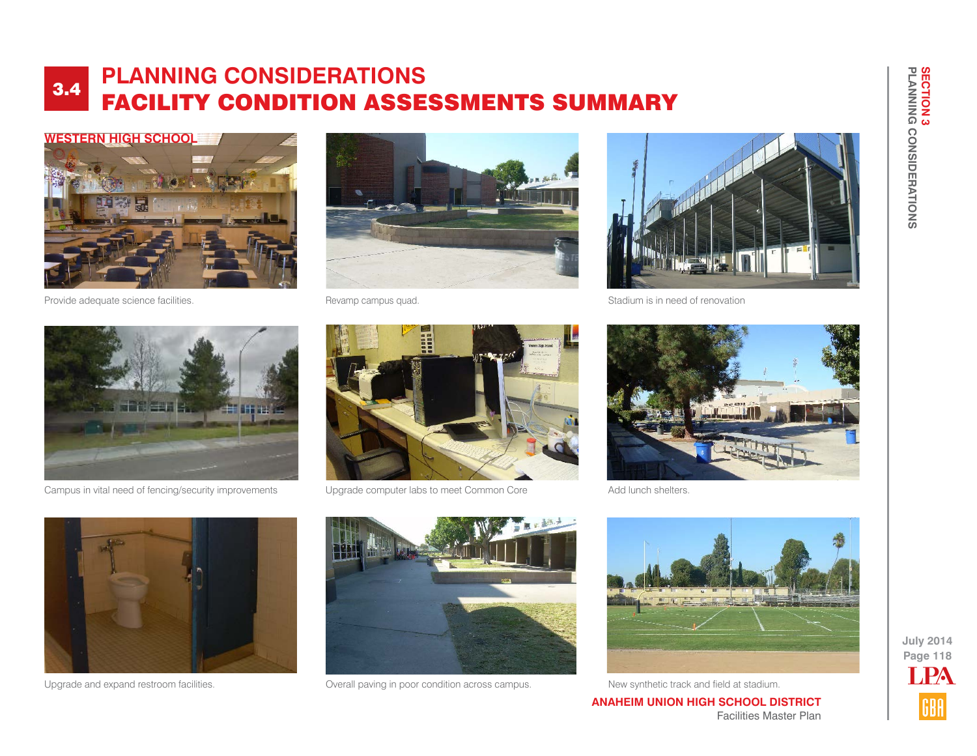

Provide adequate science facilities. The matrix of the Revamp campus quad.





Stadium is in need of renovation



Campus in vital need of fencing/security improvements Upgrade computer labs to meet Common Core





Add lunch shelters.





Upgrade and expand restroom facilities. Overall paving in poor condition across campus. New synthetic track and field at stadium.



**ANAHEIM UNION HIGH SCHOOL DISTRICT** Facilities Master Plan **PLANNING CONSIDERATIONS**

**SECTION 3<br>PLANNING CONSIDERATIONS** 

**SECTION 3**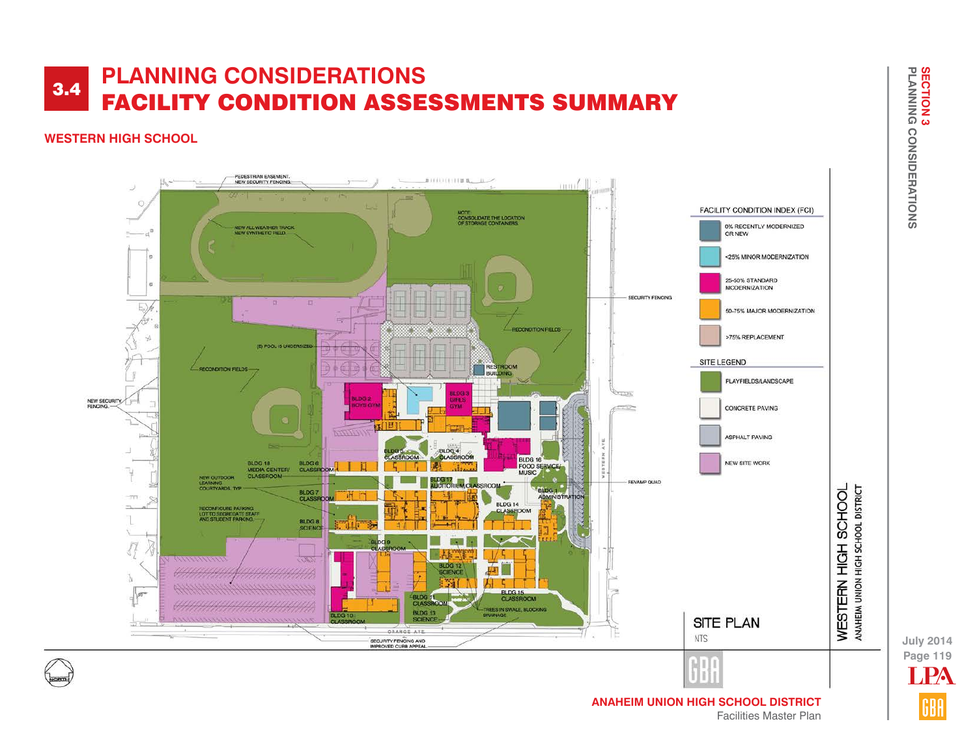## **WESTERN HIGH SCHOOL**



**SECTION 3<br>PLANNING CONSIDERATIONS SECTION 3 PLANNING CONSIDERATIONS**

**Page 119 July 2014** LPA